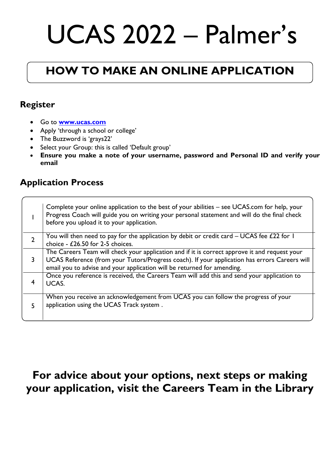# UCAS 2022 – Palmer's

# **HOW TO MAKE AN ONLINE APPLICATION**

#### **Register**

- Go to **[www.ucas.com](http://www.ucas.com/)**
- Apply 'through a school or college'
- The Buzzword is 'grays22'
- Select your Group: this is called 'Default group'
- **Ensure you make a note of your username, password and Personal ID and verify your email**

#### **Application Process**

|               | Complete your online application to the best of your abilities – see UCAS.com for help, your<br>Progress Coach will guide you on writing your personal statement and will do the final check<br>before you upload it to your application.                                 |
|---------------|---------------------------------------------------------------------------------------------------------------------------------------------------------------------------------------------------------------------------------------------------------------------------|
| $\mathcal{P}$ | You will then need to pay for the application by debit or credit card - UCAS fee $E22$ for I<br>choice - £26.50 for 2-5 choices.                                                                                                                                          |
| 3             | The Careers Team will check your application and if it is correct approve it and request your<br>UCAS Reference (from your Tutors/Progress coach). If your application has errors Careers will<br>email you to advise and your application will be returned for amending. |
|               | Once you reference is received, the Careers Team will add this and send your application to<br>UCAS.                                                                                                                                                                      |
| 5             | When you receive an acknowledgement from UCAS you can follow the progress of your<br>application using the UCAS Track system.                                                                                                                                             |

### **For advice about your options, next steps or making your application, visit the Careers Team in the Library**